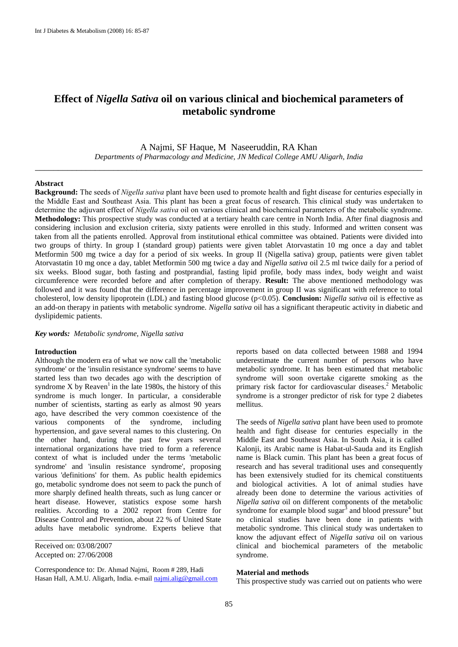# **Effect of** *Nigella Sativa* **oil on various clinical and biochemical parameters of metabolic syndrome**

A Najmi, SF Haque, M Naseeruddin, RA Khan

*Departments of Pharmacology and Medicine, JN Medical College AMU Aligarh, India* \_\_\_\_\_\_\_\_\_\_\_\_\_\_\_\_\_\_\_\_\_\_\_\_\_\_\_\_\_\_\_\_\_\_\_\_\_\_\_\_\_\_\_\_\_\_\_\_\_\_\_\_\_\_\_\_\_\_\_\_\_\_\_\_\_\_\_\_\_\_\_\_\_\_\_\_\_\_\_\_\_\_\_\_

## **Abstract**

**Background:** The seeds of *Nigella sativa* plant have been used to promote health and fight disease for centuries especially in the Middle East and Southeast Asia. This plant has been a great focus of research. This clinical study was undertaken to determine the adjuvant effect of *Nigella sativa* oil on various clinical and biochemical parameters of the metabolic syndrome. **Methodology:** This prospective study was conducted at a tertiary health care centre in North India. After final diagnosis and considering inclusion and exclusion criteria, sixty patients were enrolled in this study. Informed and written consent was taken from all the patients enrolled. Approval from institutional ethical committee was obtained. Patients were divided into two groups of thirty. In group I (standard group) patients were given tablet Atorvastatin 10 mg once a day and tablet Metformin 500 mg twice a day for a period of six weeks. In group II (Nigella sativa) group, patients were given tablet Atorvastatin 10 mg once a day, tablet Metformin 500 mg twice a day and *Nigella sativa* oil 2.5 ml twice daily for a period of six weeks. Blood sugar, both fasting and postprandial, fasting lipid profile, body mass index, body weight and waist circumference were recorded before and after completion of therapy. **Result:** The above mentioned methodology was followed and it was found that the difference in percentage improvement in group II was significant with reference to total cholesterol, low density lipoprotein (LDL) and fasting blood glucose (p<0.05). **Conclusion:** *Nigella sativa* oil is effective as an add-on therapy in patients with metabolic syndrome. *Nigella sativa* oil has a significant therapeutic activity in diabetic and dyslipidemic patients.

## *Key words: Metabolic syndrome, Nigella sativa*

## **Introduction**

Although the modern era of what we now call the 'metabolic syndrome' or the 'insulin resistance syndrome' seems to have started less than two decades ago with the description of syndrome X by Reaven<sup>1</sup> in the late 1980s, the history of this syndrome is much longer. In particular, a considerable number of scientists, starting as early as almost 90 years ago, have described the very common coexistence of the various components of the syndrome, including hypertension, and gave several names to this clustering. On the other hand, during the past few years several international organizations have tried to form a reference context of what is included under the terms 'metabolic syndrome' and 'insulin resistance syndrome', proposing various 'definitions' for them. As public health epidemics go, metabolic syndrome does not seem to pack the punch of more sharply defined health threats, such as lung cancer or heart disease. However, statistics expose some harsh realities. According to a 2002 report from Centre for Disease Control and Prevention, about 22 % of United State adults have metabolic syndrome. Experts believe that

Received on: 03/08/2007 Accepted on: 27/06/2008

Correspondence to: Dr. Ahmad Najmi, Room # 289, Hadi Hasan Hall, A.M.U. Aligarh, India. e-mail [najmi.alig@gmail.com](mailto:najmi.alig@gmail.com)

\_\_\_\_\_\_\_\_\_\_\_\_\_\_\_\_\_\_\_\_\_\_\_\_\_\_\_\_\_\_\_\_\_\_\_\_\_\_

reports based on data collected between 1988 and 1994 underestimate the current number of persons who have metabolic syndrome. It has been estimated that metabolic syndrome will soon overtake cigarette smoking as the primary risk factor for cardiovascular diseases. <sup>2</sup> Metabolic syndrome is a stronger predictor of risk for type 2 diabetes mellitus.

The seeds of *Nigella sativa* plant have been used to promote health and fight disease for centuries especially in the Middle East and Southeast Asia. In South Asia, it is called Kalonji, its Arabic name is Habat-ul-Sauda and its English name is Black cumin. This plant has been a great focus of research and has several traditional uses and consequently has been extensively studied for its chemical constituents and biological activities. A lot of animal studies have already been done to determine the various activities of *Nigella sativa* oil on different components of the metabolic syndrome for example blood sugar $^3$  and blood pressure<sup>4</sup> but no clinical studies have been done in patients with metabolic syndrome. This clinical study was undertaken to know the adjuvant effect of *Nigella sativa* oil on various clinical and biochemical parameters of the metabolic syndrome.

## **Material and methods**

This prospective study was carried out on patients who were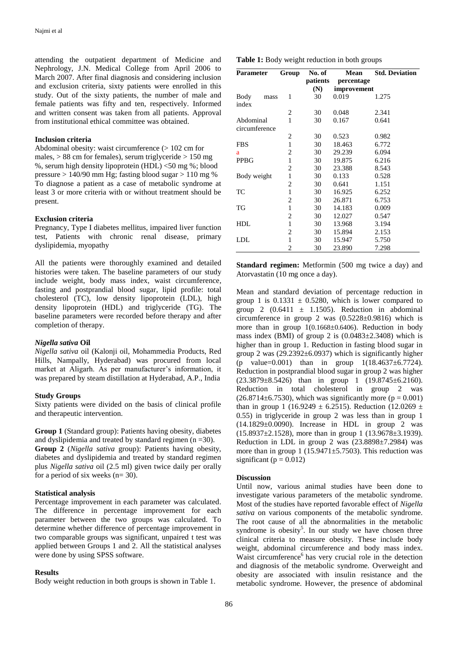attending the outpatient department of Medicine and Nephrology, J.N. Medical College from April 2006 to March 2007. After final diagnosis and considering inclusion and exclusion criteria, sixty patients were enrolled in this study. Out of the sixty patients, the number of male and female patients was fifty and ten, respectively. Informed and written consent was taken from all patients. Approval from institutional ethical committee was obtained.

## **Inclusion criteria**

Abdominal obesity: waist circumference (> 102 cm for males,  $> 88$  cm for females), serum triglyceride  $> 150$  mg %, serum high density lipoprotein (HDL) <50 mg %; blood pressure  $> 140/90$  mm Hg; fasting blood sugar  $> 110$  mg % To diagnose a patient as a case of metabolic syndrome at least 3 or more criteria with or without treatment should be present.

## **Exclusion criteria**

Pregnancy, Type I diabetes mellitus, impaired liver function test, Patients with chronic renal disease, primary dyslipidemia, myopathy

All the patients were thoroughly examined and detailed histories were taken. The baseline parameters of our study include weight, body mass index, waist circumference, fasting and postprandial blood sugar, lipid profile: total cholesterol (TC), low density lipoprotein (LDL), high density lipoprotein (HDL) and triglyceride (TG). The baseline parameters were recorded before therapy and after completion of therapy.

#### *Nigella sativa* **Oil**

*Nigella sativa* oil (Kalonji oil, Mohammedia Products, Red Hills, Nampally, Hyderabad) was procured from local market at Aligarh. As per manufacturer's information, it was prepared by steam distillation at Hyderabad, A.P., India

#### **Study Groups**

Sixty patients were divided on the basis of clinical profile and therapeutic intervention.

**Group 1** (Standard group): Patients having obesity, diabetes and dyslipidemia and treated by standard regimen  $(n = 30)$ . **Group 2** (*Nigella sativa* group): Patients having obesity, diabetes and dyslipidemia and treated by standard regimen plus *Nigella sativa* oil (2.5 ml) given twice daily per orally for a period of six weeks (n= 30).

# **Statistical analysis**

Percentage improvement in each parameter was calculated. The difference in percentage improvement for each parameter between the two groups was calculated. To determine whether difference of percentage improvement in two comparable groups was significant, unpaired t test was applied between Groups 1 and 2. All the statistical analyses were done by using SPSS software.

## **Results**

Body weight reduction in both groups is shown in Table 1.

| Parameter                  | Group        | No. of          | Mean                      | <b>Std. Deviation</b> |
|----------------------------|--------------|-----------------|---------------------------|-----------------------|
|                            |              | patients<br>(N) | percentage<br>improvement |                       |
| Body<br>mass<br>index      | 1            | 30              | 0.019                     | 1.275                 |
|                            | 2            | 30              | 0.048                     | 2.341                 |
| Abdominal<br>circumference | 1            | 30              | 0.167                     | 0.641                 |
|                            | 2            | 30              | 0.523                     | 0.982                 |
| <b>FBS</b>                 | $\mathbf{1}$ | 30              | 18.463                    | 6.772                 |
| a                          | 2            | 30              | 29.239                    | 6.094                 |
| <b>PPBG</b>                | $\mathbf{1}$ | 30              | 19.875                    | 6.216                 |
|                            | 2            | 30              | 23.388                    | 8.543                 |
| Body weight                | 1            | 30              | 0.133                     | 0.528                 |
|                            | 2            | 30              | 0.641                     | 1.151                 |
| TC                         | $\mathbf{1}$ | 30              | 16.925                    | 6.252                 |
|                            | 2            | 30              | 26.871                    | 6.753                 |
| TG                         | $\mathbf{1}$ | 30              | 14.183                    | 0.009                 |
|                            | 2            | 30              | 12.027                    | 0.547                 |
| <b>HDL</b>                 | 1            | 30              | 13.968                    | 3.194                 |
|                            | 2            | 30              | 15.894                    | 2.153                 |
| LDL                        | 1            | 30              | 15.947                    | 5.750                 |
|                            | 2            | 30              | 23.890                    | 7.298                 |

**Standard regimen:** Metformin (500 mg twice a day) and Atorvastatin (10 mg once a day).

Mean and standard deviation of percentage reduction in group 1 is  $0.1331 \pm 0.5280$ , which is lower compared to group 2 (0.6411  $\pm$  1.1505). Reduction in abdominal circumference in group 2 was  $(0.5228 \pm 0.9816)$  which is more than in group  $1(0.1668 \pm 0.6406)$ . Reduction in body mass index (BMI) of group 2 is  $(0.0483 \pm 2.3408)$  which is higher than in group 1. Reduction in fasting blood sugar in group 2 was  $(29.2392 \pm 6.0937)$  which is significantly higher (p value=0.001) than in group  $1(18.4637 \pm 6.7724)$ . Reduction in postprandial blood sugar in group 2 was higher (23.3879±8.5426) than in group 1 (19.8745±6.2160). Reduction in total cholesterol in group 2 was  $(26.8714\pm6.7530)$ , which was significantly more ( $p = 0.001$ ) than in group 1 (16.9249  $\pm$  6.2515). Reduction (12.0269  $\pm$ 0.55) in triglyceride in group 2 was less than in group 1 (14.1829±0.0090). Increase in HDL in group 2 was  $(15.8937\pm2.1528)$ , more than in group 1  $(13.9678\pm3.1939)$ . Reduction in LDL in group 2 was  $(23.8898 \pm 7.2984)$  was more than in group 1 (15.9471 $\pm$ 5.7503). This reduction was significant ( $p = 0.012$ )

## **Discussion**

Until now, various animal studies have been done to investigate various parameters of the metabolic syndrome. Most of the studies have reported favorable effect of *Nigella sativa* on various components of the metabolic syndrome. The root cause of all the abnormalities in the metabolic syndrome is obesity<sup>5</sup>. In our study we have chosen three clinical criteria to measure obesity. These include body weight, abdominal circumference and body mass index. Waist circumference $<sup>6</sup>$  has very crucial role in the detection</sup> and diagnosis of the metabolic syndrome. Overweight and obesity are associated with insulin resistance and the metabolic syndrome. However, the presence of abdominal